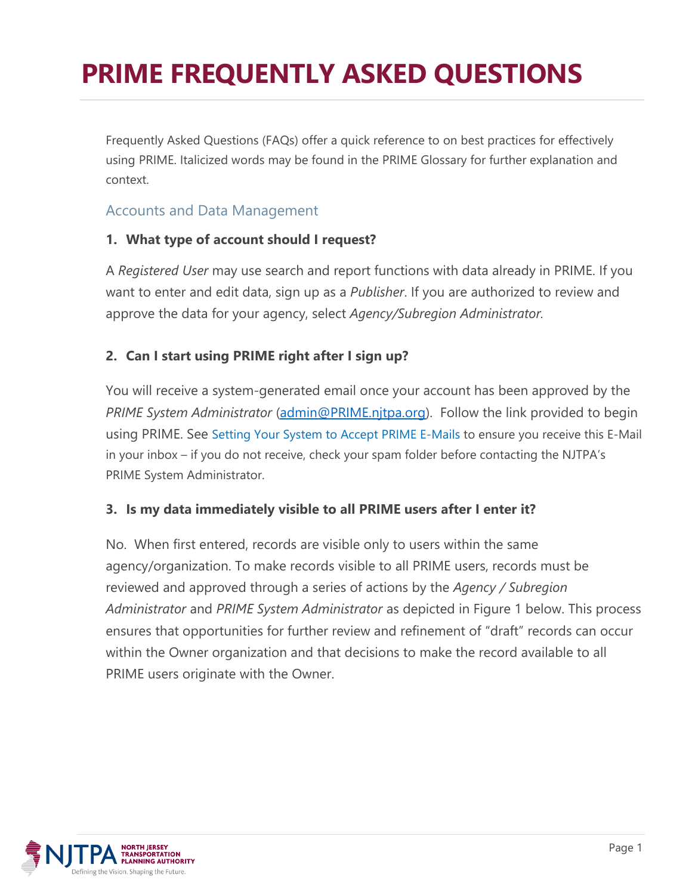Frequently Asked Questions (FAQs) offer a quick reference to on best practices for effectively using PRIME. Italicized words may be found in the PRIME Glossary for further explanation and context.

## Accounts and Data Management

#### **1. What type of account should I request?**

A *Registered User* may use search and report functions with data already in PRIME. If you want to enter and edit data, sign up as a *Publisher*. If you are authorized to review and approve the data for your agency, select *Agency/Subregion Administrator.*

### **2. Can I start using PRIME right after I sign up?**

You will receive a system-generated email once your account has been approved by the *PRIME System Administrator* [\(admin@PRIME.njtpa.org\)](mailto:admin@PRIME.njtpa.org). Follow the link provided to begin using PRIME. See Setting Your System to Accept PRIME E-Mails to ensure you receive this E-Mail in your inbox – if you do not receive, check your spam folder before contacting the NJTPA's PRIME System Administrator.

### **3. Is my data immediately visible to all PRIME users after I enter it?**

No. When first entered, records are visible only to users within the same agency/organization. To make records visible to all PRIME users, records must be reviewed and approved through a series of actions by the *Agency / Subregion Administrator* and *PRIME System Administrator* as depicted in Figure 1 below. This process ensures that opportunities for further review and refinement of "draft" records can occur within the Owner organization and that decisions to make the record available to all PRIME users originate with the Owner.

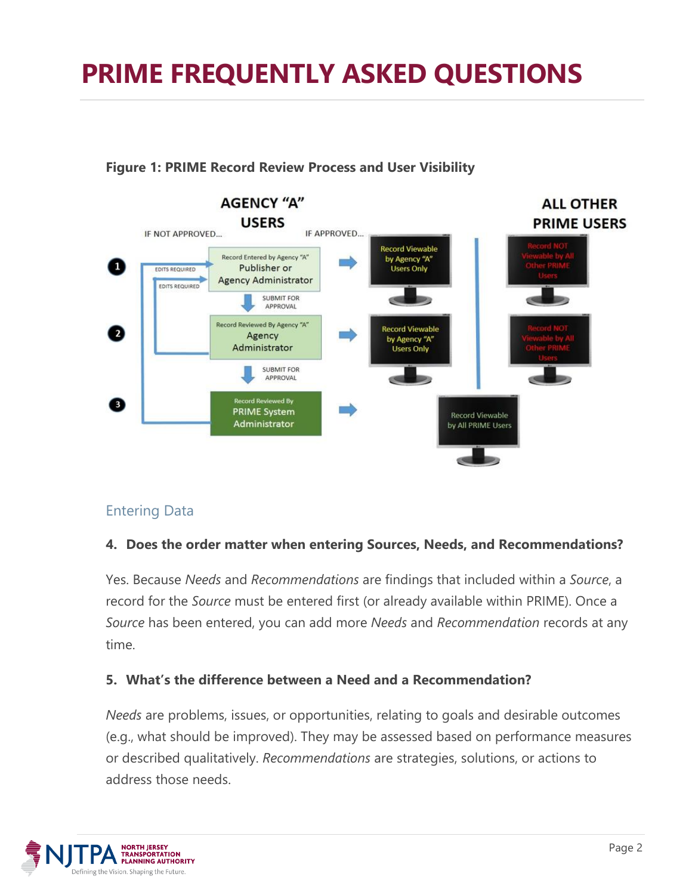

#### **Figure 1: PRIME Record Review Process and User Visibility**

### Entering Data

#### **4. Does the order matter when entering Sources, Needs, and Recommendations?**

Yes. Because *Needs* and *Recommendations* are findings that included within a *Source*, a record for the *Source* must be entered first (or already available within PRIME). Once a *Source* has been entered, you can add more *Needs* and *Recommendation* records at any time.

#### **5. What's the difference between a Need and a Recommendation?**

*Needs* are problems, issues, or opportunities, relating to goals and desirable outcomes (e.g., what should be improved). They may be assessed based on performance measures or described qualitatively. *Recommendations* are strategies, solutions, or actions to address those needs.

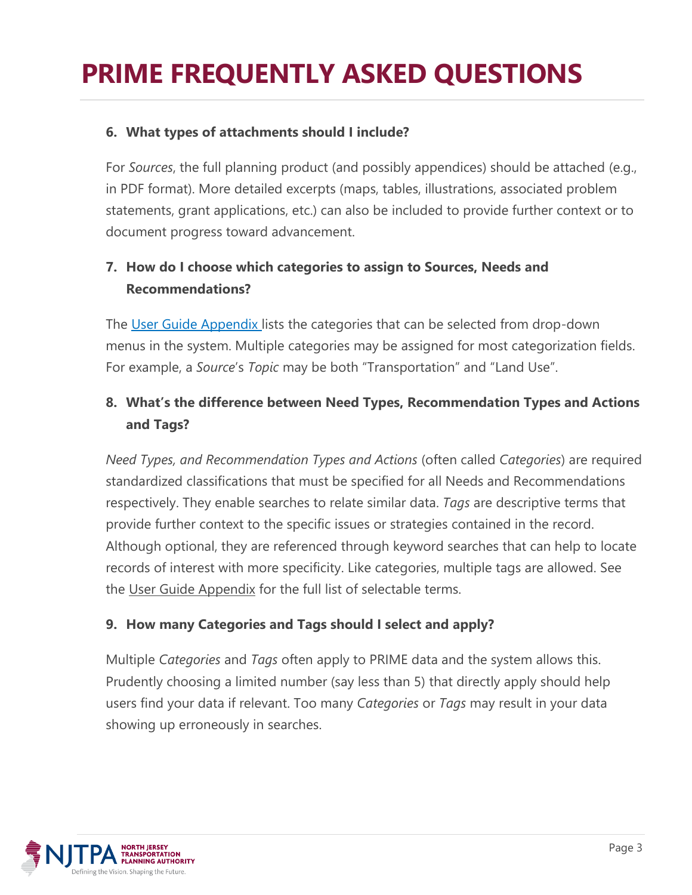### **6. What types of attachments should I include?**

For *Sources*, the full planning product (and possibly appendices) should be attached (e.g., in PDF format). More detailed excerpts (maps, tables, illustrations, associated problem statements, grant applications, etc.) can also be included to provide further context or to document progress toward advancement.

# **7. How do I choose which categories to assign to Sources, Needs and Recommendations?**

The User Guide Appendix lists the categories that can be selected from drop-down menus in the system. Multiple categories may be assigned for most categorization fields. For example, a *Source*'s *Topic* may be both "Transportation" and "Land Use".

# **8. What's the difference between Need Types, Recommendation Types and Actions and Tags?**

*Need Types, and Recommendation Types and Actions* (often called *Categories*) are required standardized classifications that must be specified for all Needs and Recommendations respectively. They enable searches to relate similar data. *Tags* are descriptive terms that provide further context to the specific issues or strategies contained in the record. Although optional, they are referenced through keyword searches that can help to locate records of interest with more specificity. Like categories, multiple tags are allowed. See the User Guide Appendix for the full list of selectable terms.

### **9. How many Categories and Tags should I select and apply?**

Multiple *Categories* and *Tags* often apply to PRIME data and the system allows this. Prudently choosing a limited number (say less than 5) that directly apply should help users find your data if relevant. Too many *Categories* or *Tags* may result in your data showing up erroneously in searches.

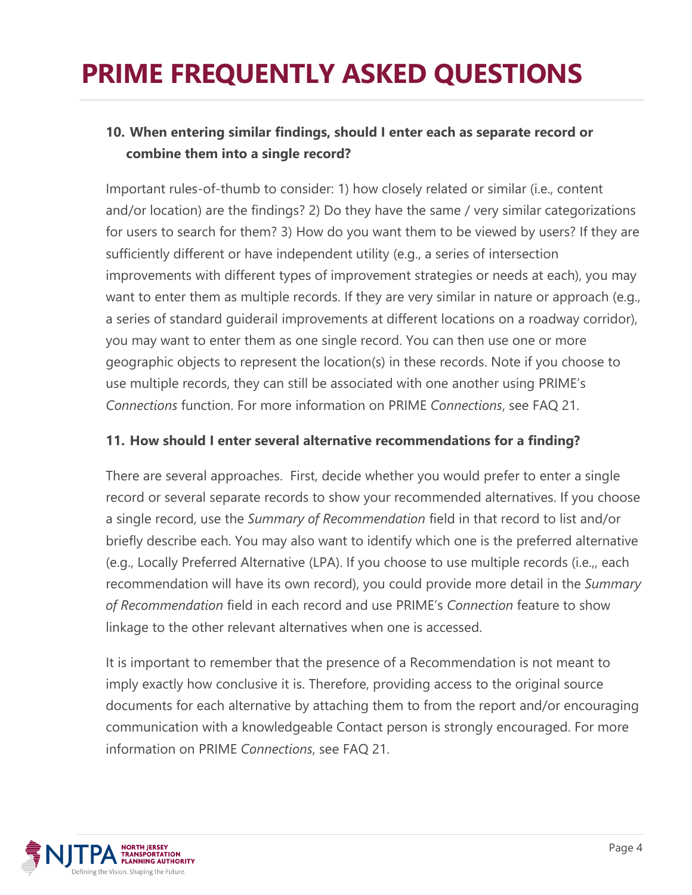# **10. When entering similar findings, should I enter each as separate record or combine them into a single record?**

Important rules-of-thumb to consider: 1) how closely related or similar (i.e., content and/or location) are the findings? 2) Do they have the same / very similar categorizations for users to search for them? 3) How do you want them to be viewed by users? If they are sufficiently different or have independent utility (e.g., a series of intersection improvements with different types of improvement strategies or needs at each), you may want to enter them as multiple records. If they are very similar in nature or approach (e.g., a series of standard guiderail improvements at different locations on a roadway corridor), you may want to enter them as one single record. You can then use one or more geographic objects to represent the location(s) in these records. Note if you choose to use multiple records, they can still be associated with one another using PRIME's *Connections* function. For more information on PRIME *Connections*, see FAQ 21.

#### **11. How should I enter several alternative recommendations for a finding?**

There are several approaches. First, decide whether you would prefer to enter a single record or several separate records to show your recommended alternatives. If you choose a single record, use the *Summary of Recommendation* field in that record to list and/or briefly describe each. You may also want to identify which one is the preferred alternative (e.g., Locally Preferred Alternative (LPA). If you choose to use multiple records (i.e.,, each recommendation will have its own record), you could provide more detail in the *Summary of Recommendation* field in each record and use PRIME's *Connection* feature to show linkage to the other relevant alternatives when one is accessed.

It is important to remember that the presence of a Recommendation is not meant to imply exactly how conclusive it is. Therefore, providing access to the original source documents for each alternative by attaching them to from the report and/or encouraging communication with a knowledgeable Contact person is strongly encouraged. For more information on PRIME *Connections*, see FAQ 21.

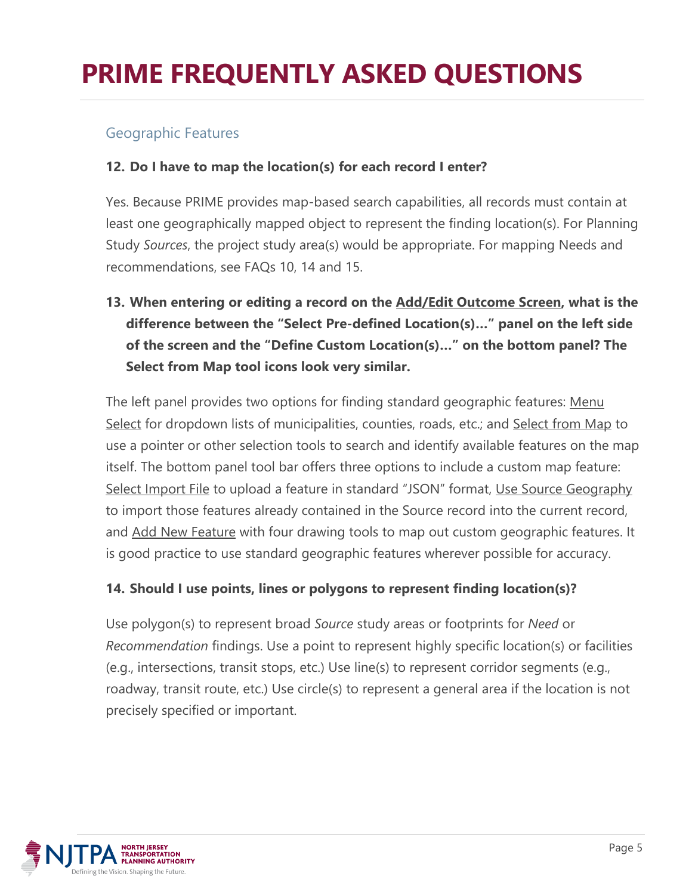## Geographic Features

### **12. Do I have to map the location(s) for each record I enter?**

Yes. Because PRIME provides map-based search capabilities, all records must contain at least one geographically mapped object to represent the finding location(s). For Planning Study *Sources*, the project study area(s) would be appropriate. For mapping Needs and recommendations, see FAQs 10, 14 and 15.

**13. When entering or editing a record on the Add/Edit Outcome Screen, what is the difference between the "Select Pre-defined Location(s)…" panel on the left side of the screen and the "Define Custom Location(s)…" on the bottom panel? The Select from Map tool icons look very similar.**

The left panel provides two options for finding standard geographic features: Menu Select for dropdown lists of municipalities, counties, roads, etc.; and Select from Map to use a pointer or other selection tools to search and identify available features on the map itself. The bottom panel tool bar offers three options to include a custom map feature: Select Import File to upload a feature in standard "JSON" format, Use Source Geography to import those features already contained in the Source record into the current record, and Add New Feature with four drawing tools to map out custom geographic features. It is good practice to use standard geographic features wherever possible for accuracy.

#### **14. Should I use points, lines or polygons to represent finding location(s)?**

Use polygon(s) to represent broad *Source* study areas or footprints for *Need* or *Recommendation* findings. Use a point to represent highly specific location(s) or facilities (e.g., intersections, transit stops, etc.) Use line(s) to represent corridor segments (e.g., roadway, transit route, etc.) Use circle(s) to represent a general area if the location is not precisely specified or important.

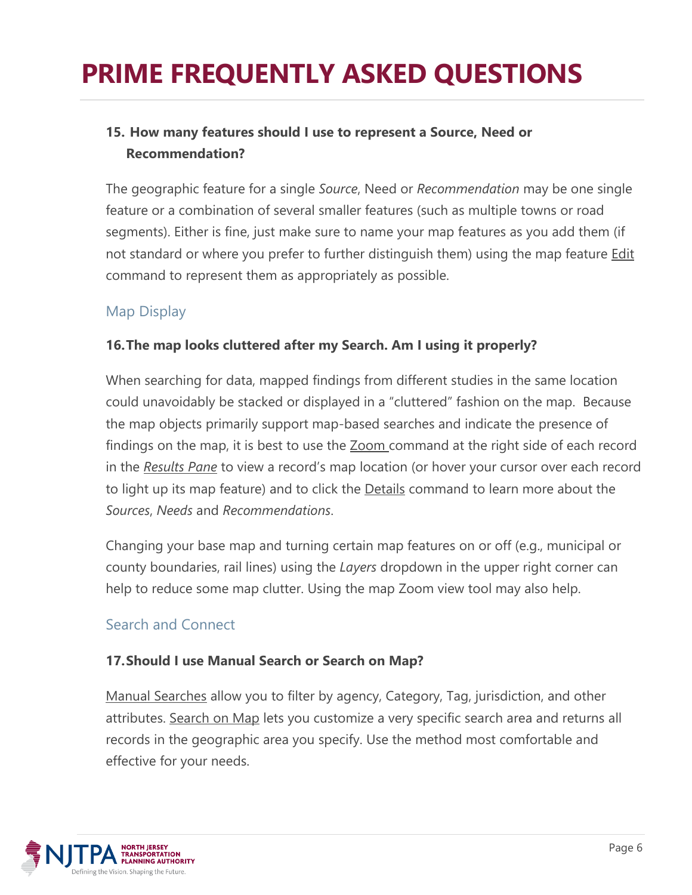# **15. How many features should I use to represent a Source, Need or Recommendation?**

The geographic feature for a single *Source*, Need or *Recommendation* may be one single feature or a combination of several smaller features (such as multiple towns or road segments). Either is fine, just make sure to name your map features as you add them (if not standard or where you prefer to further distinguish them) using the map feature **Edit** command to represent them as appropriately as possible.

## Map Display

### **16.The map looks cluttered after my Search. Am I using it properly?**

When searching for data, mapped findings from different studies in the same location could unavoidably be stacked or displayed in a "cluttered" fashion on the map. Because the map objects primarily support map-based searches and indicate the presence of findings on the map, it is best to use the **Zoom command at the right side of each record** in the *Results Pane* to view a record's map location (or hover your cursor over each record to light up its map feature) and to click the **Details** command to learn more about the *Sources*, *Needs* and *Recommendations*.

Changing your base map and turning certain map features on or off (e.g., municipal or county boundaries, rail lines) using the *Layers* dropdown in the upper right corner can help to reduce some map clutter. Using the map Zoom view tool may also help.

## Search and Connect

### **17.Should I use Manual Search or Search on Map?**

Manual Searches allow you to filter by agency, Category, Tag, jurisdiction, and other attributes. Search on Map lets you customize a very specific search area and returns all records in the geographic area you specify. Use the method most comfortable and effective for your needs.

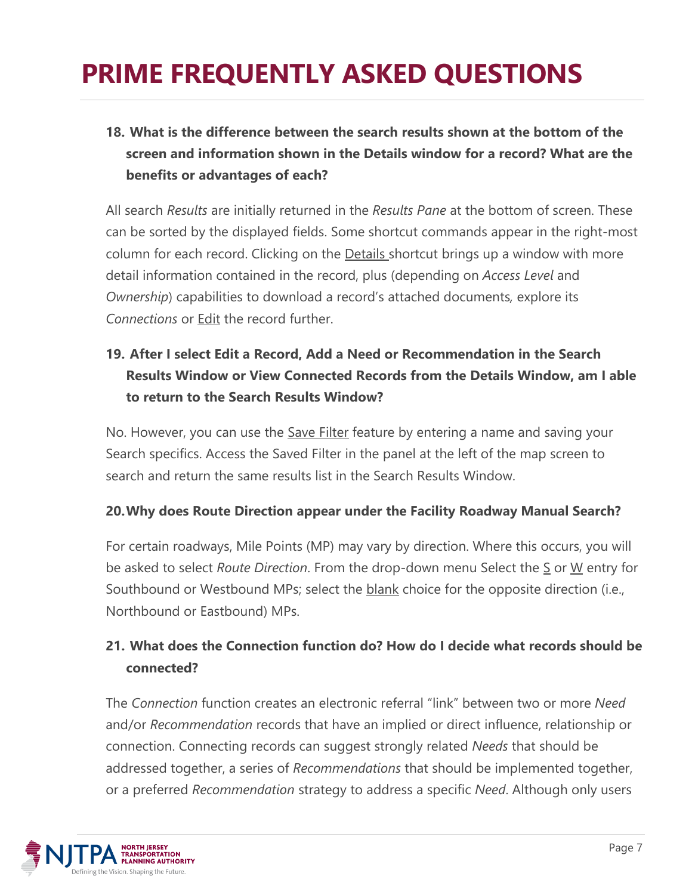# **18. What is the difference between the search results shown at the bottom of the screen and information shown in the Details window for a record? What are the benefits or advantages of each?**

All search *Results* are initially returned in the *Results Pane* at the bottom of screen. These can be sorted by the displayed fields. Some shortcut commands appear in the right-most column for each record. Clicking on the Details shortcut brings up a window with more detail information contained in the record, plus (depending on *Access Level* and *Ownership*) capabilities to download a record's attached documents*,* explore its *Connections* or Edit the record further.

# **19. After I select Edit a Record, Add a Need or Recommendation in the Search Results Window or View Connected Records from the Details Window, am I able to return to the Search Results Window?**

No. However, you can use the Save Filter feature by entering a name and saving your Search specifics. Access the Saved Filter in the panel at the left of the map screen to search and return the same results list in the Search Results Window.

### **20.Why does Route Direction appear under the Facility Roadway Manual Search?**

For certain roadways, Mile Points (MP) may vary by direction. Where this occurs, you will be asked to select *Route Direction*. From the drop-down menu Select the S or W entry for Southbound or Westbound MPs; select the blank choice for the opposite direction (i.e., Northbound or Eastbound) MPs.

# **21. What does the Connection function do? How do I decide what records should be connected?**

The *Connection* function creates an electronic referral "link" between two or more *Need* and/or *Recommendation* records that have an implied or direct influence, relationship or connection. Connecting records can suggest strongly related *Needs* that should be addressed together, a series of *Recommendations* that should be implemented together, or a preferred *Recommendation* strategy to address a specific *Need*. Although only users

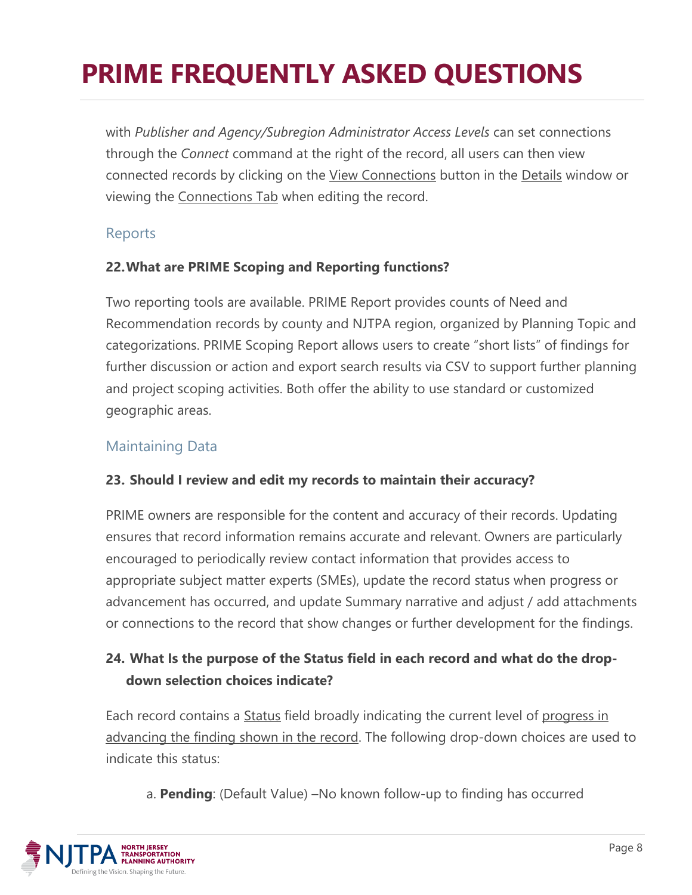with *Publisher and Agency/Subregion Administrator Access Levels* can set connections through the *Connect* command at the right of the record, all users can then view connected records by clicking on the View Connections button in the Details window or viewing the Connections Tab when editing the record.

## Reports

#### **22.What are PRIME Scoping and Reporting functions?**

Two reporting tools are available. PRIME Report provides counts of Need and Recommendation records by county and NJTPA region, organized by Planning Topic and categorizations. PRIME Scoping Report allows users to create "short lists" of findings for further discussion or action and export search results via CSV to support further planning and project scoping activities. Both offer the ability to use standard or customized geographic areas.

## Maintaining Data

### **23. Should I review and edit my records to maintain their accuracy?**

PRIME owners are responsible for the content and accuracy of their records. Updating ensures that record information remains accurate and relevant. Owners are particularly encouraged to periodically review contact information that provides access to appropriate subject matter experts (SMEs), update the record status when progress or advancement has occurred, and update Summary narrative and adjust / add attachments or connections to the record that show changes or further development for the findings.

# **24. What Is the purpose of the Status field in each record and what do the dropdown selection choices indicate?**

Each record contains a Status field broadly indicating the current level of progress in advancing the finding shown in the record. The following drop-down choices are used to indicate this status:

a. **Pending**: (Default Value) –No known follow-up to finding has occurred